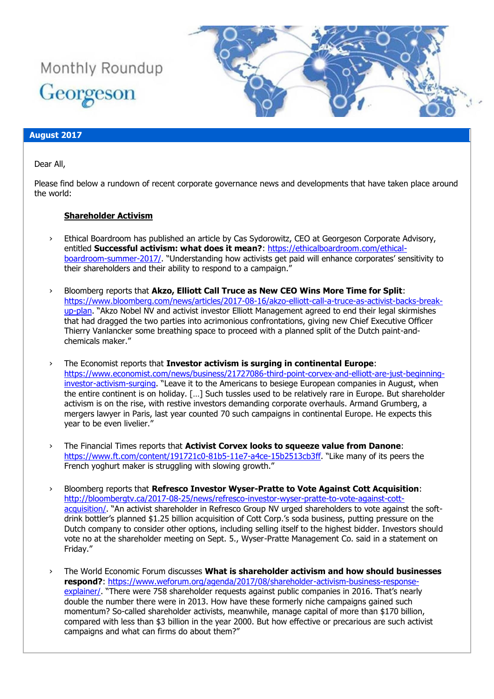



### **August 2017**

Dear All,

Please find below a rundown of recent corporate governance news and developments that have taken place around the world:

#### **Shareholder Activism**

- › Ethical Boardroom has published an article by Cas Sydorowitz, CEO at Georgeson Corporate Advisory, entitled **Successful activism: what does it mean?**: [https://ethicalboardroom.com/ethical](https://ethicalboardroom.com/ethical-boardroom-summer-2017/)[boardroom-summer-2017/](https://ethicalboardroom.com/ethical-boardroom-summer-2017/). "Understanding how activists get paid will enhance corporates' sensitivity to their shareholders and their ability to respond to a campaign."
- › Bloomberg reports that **Akzo, Elliott Call Truce as New CEO Wins More Time for Split**: [https://www.bloomberg.com/news/articles/2017-08-16/akzo-elliott-call-a-truce-as-activist-backs-break](https://www.bloomberg.com/news/articles/2017-08-16/akzo-elliott-call-a-truce-as-activist-backs-break-up-plan)[up-plan](https://www.bloomberg.com/news/articles/2017-08-16/akzo-elliott-call-a-truce-as-activist-backs-break-up-plan). "Akzo Nobel NV and activist investor Elliott Management agreed to end their legal skirmishes that had dragged the two parties into acrimonious confrontations, giving new Chief Executive Officer Thierry Vanlancker some breathing space to proceed with a planned split of the Dutch paint-andchemicals maker."
- › The Economist reports that **Investor activism is surging in continental Europe**: [https://www.economist.com/news/business/21727086-third-point-corvex-and-elliott-are-just-beginning](https://www.economist.com/news/business/21727086-third-point-corvex-and-elliott-are-just-beginning-investor-activism-surging)[investor-activism-surging](https://www.economist.com/news/business/21727086-third-point-corvex-and-elliott-are-just-beginning-investor-activism-surging). "Leave it to the Americans to besiege European companies in August, when the entire continent is on holiday. […] Such tussles used to be relatively rare in Europe. But shareholder activism is on the rise, with restive investors demanding corporate overhauls. Armand Grumberg, a mergers lawyer in Paris, last year counted 70 such campaigns in continental Europe. He expects this year to be even livelier."
- › The Financial Times reports that **Activist Corvex looks to squeeze value from Danone**: <https://www.ft.com/content/191721c0-81b5-11e7-a4ce-15b2513cb3ff>. "Like many of its peers the French yoghurt maker is struggling with slowing growth."
- › Bloomberg reports that **Refresco Investor Wyser-Pratte to Vote Against Cott Acquisition**: [http://bloombergtv.ca/2017-08-25/news/refresco-investor-wyser-pratte-to-vote-against-cott](http://bloombergtv.ca/2017-08-25/news/refresco-investor-wyser-pratte-to-vote-against-cott-acquisition/)[acquisition/.](http://bloombergtv.ca/2017-08-25/news/refresco-investor-wyser-pratte-to-vote-against-cott-acquisition/) "An activist shareholder in Refresco Group NV urged shareholders to vote against the softdrink bottler's planned \$1.25 billion acquisition of Cott Corp.'s soda business, putting pressure on the Dutch company to consider other options, including selling itself to the highest bidder. Investors should vote no at the shareholder meeting on Sept. 5., Wyser-Pratte Management Co. said in a statement on Friday."
- › The World Economic Forum discusses **What is shareholder activism and how should businesses respond?**: [https://www.weforum.org/agenda/2017/08/shareholder-activism-business-response](https://www.weforum.org/agenda/2017/08/shareholder-activism-business-response-explainer/)[explainer/](https://www.weforum.org/agenda/2017/08/shareholder-activism-business-response-explainer/). "There were 758 shareholder requests against public companies in 2016. That's nearly double the number there were in 2013. How have these formerly niche campaigns gained such momentum? So-called shareholder activists, meanwhile, manage capital of more than \$170 billion, compared with less than \$3 billion in the year 2000. But how effective or precarious are such activist campaigns and what can firms do about them?"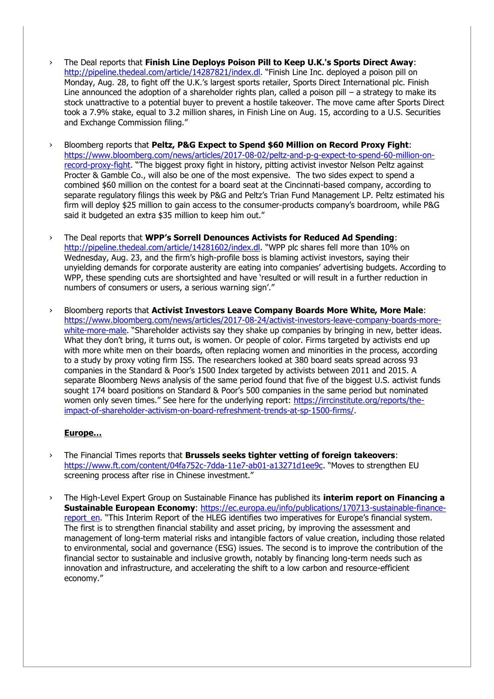- › The Deal reports that **Finish Line Deploys Poison Pill to Keep U.K.'s Sports Direct Away**: <http://pipeline.thedeal.com/article/14287821/index.dl>. "Finish Line Inc. deployed a poison pill on Monday, Aug. 28, to fight off the U.K.'s largest sports retailer, Sports Direct International plc. Finish Line announced the adoption of a shareholder rights plan, called a poison pill – a strategy to make its stock unattractive to a potential buyer to prevent a hostile takeover. The move came after Sports Direct took a 7.9% stake, equal to 3.2 million shares, in Finish Line on Aug. 15, according to a U.S. Securities and Exchange Commission filing."
- › Bloomberg reports that **Peltz, P&G Expect to Spend \$60 Million on Record Proxy Fight**: [https://www.bloomberg.com/news/articles/2017-08-02/peltz-and-p-g-expect-to-spend-60-million-on](https://www.bloomberg.com/news/articles/2017-08-02/peltz-and-p-g-expect-to-spend-60-million-on-record-proxy-fight)[record-proxy-fight](https://www.bloomberg.com/news/articles/2017-08-02/peltz-and-p-g-expect-to-spend-60-million-on-record-proxy-fight). "The biggest proxy fight in history, pitting activist investor Nelson Peltz against Procter & Gamble Co., will also be one of the most expensive. The two sides expect to spend a combined \$60 million on the contest for a board seat at the Cincinnati-based company, according to separate regulatory filings this week by P&G and Peltz's Trian Fund Management LP. Peltz estimated his firm will deploy \$25 million to gain access to the consumer-products company's boardroom, while P&G said it budgeted an extra \$35 million to keep him out."
- › The Deal reports that **WPP's Sorrell Denounces Activists for Reduced Ad Spending**: <http://pipeline.thedeal.com/article/14281602/index.dl>. "WPP plc shares fell more than 10% on Wednesday, Aug. 23, and the firm's high-profile boss is blaming activist investors, saying their unyielding demands for corporate austerity are eating into companies' advertising budgets. According to WPP, these spending cuts are shortsighted and have 'resulted or will result in a further reduction in numbers of consumers or users, a serious warning sign'."
- › Bloomberg reports that **Activist Investors Leave Company Boards More White, More Male**: [https://www.bloomberg.com/news/articles/2017-08-24/activist-investors-leave-company-boards-more](https://www.bloomberg.com/news/articles/2017-08-24/activist-investors-leave-company-boards-more-white-more-male)[white-more-male](https://www.bloomberg.com/news/articles/2017-08-24/activist-investors-leave-company-boards-more-white-more-male). "Shareholder activists say they shake up companies by bringing in new, better ideas. What they don't bring, it turns out, is women. Or people of color. Firms targeted by activists end up with more white men on their boards, often replacing women and minorities in the process, according to a study by proxy voting firm ISS. The researchers looked at 380 board seats spread across 93 companies in the Standard & Poor's 1500 Index targeted by activists between 2011 and 2015. A separate Bloomberg News analysis of the same period found that five of the biggest U.S. activist funds sought 174 board positions on Standard & Poor's 500 companies in the same period but nominated women only seven times." See here for the underlying report: [https://irrcinstitute.org/reports/the](https://irrcinstitute.org/reports/the-impact-of-shareholder-activism-on-board-refreshment-trends-at-sp-1500-firms/)[impact-of-shareholder-activism-on-board-refreshment-trends-at-sp-1500-firms/.](https://irrcinstitute.org/reports/the-impact-of-shareholder-activism-on-board-refreshment-trends-at-sp-1500-firms/)

#### **Europe…**

- › The Financial Times reports that **Brussels seeks tighter vetting of foreign takeovers**: <https://www.ft.com/content/04fa752c-7dda-11e7-ab01-a13271d1ee9c>. "Moves to strengthen EU screening process after rise in Chinese investment."
- › The High-Level Expert Group on Sustainable Finance has published its **interim report on Financing a Sustainable European Economy**: [https://ec.europa.eu/info/publications/170713-sustainable-finance](https://ec.europa.eu/info/publications/170713-sustainable-finance-report_en)[report\\_en](https://ec.europa.eu/info/publications/170713-sustainable-finance-report_en). "This Interim Report of the HLEG identifies two imperatives for Europe's financial system. The first is to strengthen financial stability and asset pricing, by improving the assessment and management of long-term material risks and intangible factors of value creation, including those related to environmental, social and governance (ESG) issues. The second is to improve the contribution of the financial sector to sustainable and inclusive growth, notably by financing long-term needs such as innovation and infrastructure, and accelerating the shift to a low carbon and resource-efficient economy."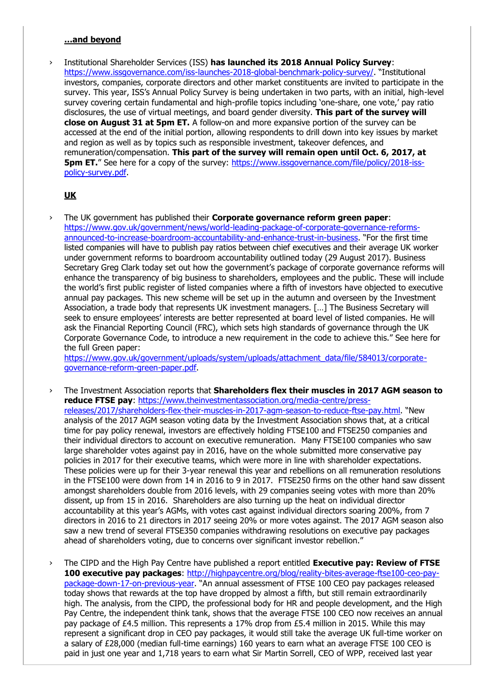#### **…and beyond**

› Institutional Shareholder Services (ISS) **has launched its 2018 Annual Policy Survey**: <https://www.issgovernance.com/iss-launches-2018-global-benchmark-policy-survey/>. "Institutional investors, companies, corporate directors and other market constituents are invited to participate in the survey. This year, ISS's Annual Policy Survey is being undertaken in two parts, with an initial, high-level survey covering certain fundamental and high-profile topics including 'one-share, one vote,' pay ratio disclosures, the use of virtual meetings, and board gender diversity. **This part of the survey will close on August 31 at 5pm ET.** A follow-on and more expansive portion of the survey can be accessed at the end of the initial portion, allowing respondents to drill down into key issues by market and region as well as by topics such as responsible investment, takeover defences, and remuneration/compensation. **This part of the survey will remain open until Oct. 6, 2017, at 5pm ET.**" See here for a copy of the survey: [https://www.issgovernance.com/file/policy/2018-iss](https://www.issgovernance.com/file/policy/2018-iss-policy-survey.pdf)[policy-survey.pdf.](https://www.issgovernance.com/file/policy/2018-iss-policy-survey.pdf)

## **UK**

› The UK government has published their **Corporate governance reform green paper**: [https://www.gov.uk/government/news/world-leading-package-of-corporate-governance-reforms](https://www.gov.uk/government/news/world-leading-package-of-corporate-governance-reforms-announced-to-increase-boardroom-accountability-and-enhance-trust-in-business)[announced-to-increase-boardroom-accountability-and-enhance-trust-in-business](https://www.gov.uk/government/news/world-leading-package-of-corporate-governance-reforms-announced-to-increase-boardroom-accountability-and-enhance-trust-in-business). "For the first time listed companies will have to publish pay ratios between chief executives and their average UK worker under government reforms to boardroom accountability outlined today (29 August 2017). Business Secretary Greg Clark today set out how the government's package of corporate governance reforms will enhance the transparency of big business to shareholders, employees and the public. These will include the world's first public register of listed companies where a fifth of investors have objected to executive annual pay packages. This new scheme will be set up in the autumn and overseen by the Investment Association, a trade body that represents UK investment managers. […] The Business Secretary will seek to ensure employees' interests are better represented at board level of listed companies. He will ask the Financial Reporting Council (FRC), which sets high standards of governance through the UK Corporate Governance Code, to introduce a new requirement in the code to achieve this." See here for the full Green paper:

[https://www.gov.uk/government/uploads/system/uploads/attachment\\_data/file/584013/corporate](https://www.gov.uk/government/uploads/system/uploads/attachment_data/file/584013/corporate-governance-reform-green-paper.pdf)[governance-reform-green-paper.pdf.](https://www.gov.uk/government/uploads/system/uploads/attachment_data/file/584013/corporate-governance-reform-green-paper.pdf)

- › The Investment Association reports that **Shareholders flex their muscles in 2017 AGM season to reduce FTSE pay**: [https://www.theinvestmentassociation.org/media-centre/press](https://www.theinvestmentassociation.org/media-centre/press-releases/2017/shareholders-flex-their-muscles-in-2017-agm-season-to-reduce-ftse-pay.html)[releases/2017/shareholders-flex-their-muscles-in-2017-agm-season-to-reduce-ftse-pay.html](https://www.theinvestmentassociation.org/media-centre/press-releases/2017/shareholders-flex-their-muscles-in-2017-agm-season-to-reduce-ftse-pay.html). "New analysis of the 2017 AGM season voting data by the Investment Association shows that, at a critical time for pay policy renewal, investors are effectively holding FTSE100 and FTSE250 companies and their individual directors to account on executive remuneration. Many FTSE100 companies who saw large shareholder votes against pay in 2016, have on the whole submitted more conservative pay policies in 2017 for their executive teams, which were more in line with shareholder expectations. These policies were up for their 3-year renewal this year and rebellions on all remuneration resolutions in the FTSE100 were down from 14 in 2016 to 9 in 2017. FTSE250 firms on the other hand saw dissent amongst shareholders double from 2016 levels, with 29 companies seeing votes with more than 20% dissent, up from 15 in 2016. Shareholders are also turning up the heat on individual director accountability at this year's AGMs, with votes cast against individual directors soaring 200%, from 7 directors in 2016 to 21 directors in 2017 seeing 20% or more votes against. The 2017 AGM season also saw a new trend of several FTSE350 companies withdrawing resolutions on executive pay packages ahead of shareholders voting, due to concerns over significant investor rebellion."
- › The CIPD and the High Pay Centre have published a report entitled **Executive pay: Review of FTSE 100 executive pay packages**: [http://highpaycentre.org/blog/reality-bites-average-ftse100-ceo-pay](http://highpaycentre.org/blog/reality-bites-average-ftse100-ceo-pay-package-down-17-on-previous-year)[package-down-17-on-previous-year](http://highpaycentre.org/blog/reality-bites-average-ftse100-ceo-pay-package-down-17-on-previous-year). "An annual assessment of FTSE 100 CEO pay packages released today shows that rewards at the top have dropped by almost a fifth, but still remain extraordinarily high. The analysis, from the CIPD, the professional body for HR and people development, and the High Pay Centre, the independent think tank, shows that the average FTSE 100 CEO now receives an annual pay package of £4.5 million. This represents a 17% drop from £5.4 million in 2015. While this may represent a significant drop in CEO pay packages, it would still take the average UK full-time worker on a salary of £28,000 (median full-time earnings) 160 years to earn what an average FTSE 100 CEO is paid in just one year and 1,718 years to earn what Sir Martin Sorrell, CEO of WPP, received last year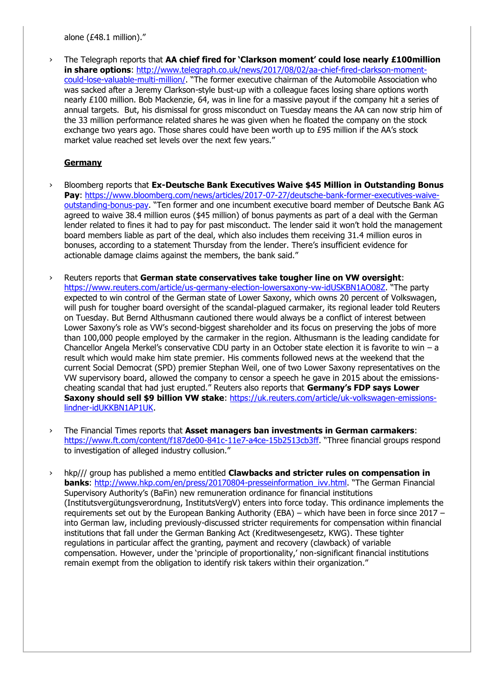alone (£48.1 million)."

› The Telegraph reports that **AA chief fired for 'Clarkson moment' could lose nearly £100million in share options**: [http://www.telegraph.co.uk/news/2017/08/02/aa-chief-fired-clarkson-moment](http://www.telegraph.co.uk/news/2017/08/02/aa-chief-fired-clarkson-moment-could-lose-valuable-multi-million/)[could-lose-valuable-multi-million/](http://www.telegraph.co.uk/news/2017/08/02/aa-chief-fired-clarkson-moment-could-lose-valuable-multi-million/). "The former executive chairman of the Automobile Association who was sacked after a Jeremy Clarkson-style bust-up with a colleague faces losing share options worth nearly £100 million. Bob Mackenzie, 64, was in line for a massive payout if the company hit a series of annual targets. But, his dismissal for gross misconduct on Tuesday means the AA can now strip him of the 33 million performance related shares he was given when he floated the company on the stock exchange two years ago. Those shares could have been worth up to £95 million if the AA's stock market value reached set levels over the next few years."

## **Germany**

- › Bloomberg reports that **Ex-Deutsche Bank Executives Waive \$45 Million in Outstanding Bonus Pay**: [https://www.bloomberg.com/news/articles/2017-07-27/deutsche-bank-former-executives-waive](https://www.bloomberg.com/news/articles/2017-07-27/deutsche-bank-former-executives-waive-outstanding-bonus-pay)[outstanding-bonus-pay](https://www.bloomberg.com/news/articles/2017-07-27/deutsche-bank-former-executives-waive-outstanding-bonus-pay). "Ten former and one incumbent executive board member of Deutsche Bank AG agreed to waive 38.4 million euros (\$45 million) of bonus payments as part of a deal with the German lender related to fines it had to pay for past misconduct. The lender said it won't hold the management board members liable as part of the deal, which also includes them receiving 31.4 million euros in bonuses, according to a statement Thursday from the lender. There's insufficient evidence for actionable damage claims against the members, the bank said."
- › Reuters reports that **German state conservatives take tougher line on VW oversight**: <https://www.reuters.com/article/us-germany-election-lowersaxony-vw-idUSKBN1AO08Z>. "The party expected to win control of the German state of Lower Saxony, which owns 20 percent of Volkswagen, will push for tougher board oversight of the scandal-plagued carmaker, its regional leader told Reuters on Tuesday. But Bernd Althusmann cautioned there would always be a conflict of interest between Lower Saxony's role as VW's second-biggest shareholder and its focus on preserving the jobs of more than 100,000 people employed by the carmaker in the region. Althusmann is the leading candidate for Chancellor Angela Merkel's conservative CDU party in an October state election it is favorite to win – a result which would make him state premier. His comments followed news at the weekend that the current Social Democrat (SPD) premier Stephan Weil, one of two Lower Saxony representatives on the VW supervisory board, allowed the company to censor a speech he gave in 2015 about the emissionscheating scandal that had just erupted." Reuters also reports that **Germany's FDP says Lower Saxony should sell \$9 billion VW stake**: [https://uk.reuters.com/article/uk-volkswagen-emissions](https://uk.reuters.com/article/uk-volkswagen-emissions-lindner-idUKKBN1AP1UK)[lindner-idUKKBN1AP1UK.](https://uk.reuters.com/article/uk-volkswagen-emissions-lindner-idUKKBN1AP1UK)
- › The Financial Times reports that **Asset managers ban investments in German carmakers**: <https://www.ft.com/content/f187de00-841c-11e7-a4ce-15b2513cb3ff>. "Three financial groups respond to investigation of alleged industry collusion."
- › hkp/// group has published a memo entitled **Clawbacks and stricter rules on compensation in banks**: [http://www.hkp.com/en/press/20170804-presseinformation\\_ivv.html](http://www.hkp.com/en/press/20170804-presseinformation_ivv.html). "The German Financial Supervisory Authority's (BaFin) new remuneration ordinance for financial institutions (Institutsvergütungsverordnung, InstitutsVergV) enters into force today. This ordinance implements the requirements set out by the European Banking Authority (EBA) – which have been in force since 2017 – into German law, including previously-discussed stricter requirements for compensation within financial institutions that fall under the German Banking Act (Kreditwesengesetz, KWG). These tighter regulations in particular affect the granting, payment and recovery (clawback) of variable compensation. However, under the 'principle of proportionality,' non-significant financial institutions remain exempt from the obligation to identify risk takers within their organization."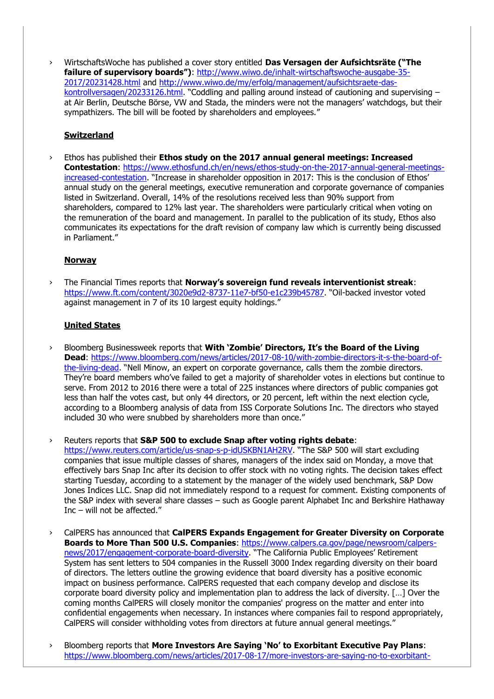› WirtschaftsWoche has published a cover story entitled **Das Versagen der Aufsichtsräte ("The failure of supervisory boards")**: [http://www.wiwo.de/inhalt-wirtschaftswoche-ausgabe-35-](http://www.wiwo.de/inhalt-wirtschaftswoche-ausgabe-35-2017/20231428.html) [2017/20231428.html](http://www.wiwo.de/inhalt-wirtschaftswoche-ausgabe-35-2017/20231428.html) and [http://www.wiwo.de/my/erfolg/management/aufsichtsraete-das](http://www.wiwo.de/my/erfolg/management/aufsichtsraete-das-kontrollversagen/20233126.html)[kontrollversagen/20233126.html](http://www.wiwo.de/my/erfolg/management/aufsichtsraete-das-kontrollversagen/20233126.html). "Coddling and palling around instead of cautioning and supervising – at Air Berlin, Deutsche Börse, VW and Stada, the minders were not the managers' watchdogs, but their sympathizers. The bill will be footed by shareholders and employees."

### **Switzerland**

› Ethos has published their **Ethos study on the 2017 annual general meetings: Increased Contestation**: [https://www.ethosfund.ch/en/news/ethos-study-on-the-2017-annual-general-meetings](https://www.ethosfund.ch/en/news/ethos-study-on-the-2017-annual-general-meetings-increased-contestation)[increased-contestation](https://www.ethosfund.ch/en/news/ethos-study-on-the-2017-annual-general-meetings-increased-contestation). "Increase in shareholder opposition in 2017: This is the conclusion of Ethos' annual study on the general meetings, executive remuneration and corporate governance of companies listed in Switzerland. Overall, 14% of the resolutions received less than 90% support from shareholders, compared to 12% last year. The shareholders were particularly critical when voting on the remuneration of the board and management. In parallel to the publication of its study, Ethos also communicates its expectations for the draft revision of company law which is currently being discussed in Parliament."

### **Norway**

› The Financial Times reports that **Norway's sovereign fund reveals interventionist streak**: <https://www.ft.com/content/3020e9d2-8737-11e7-bf50-e1c239b45787>. "Oil-backed investor voted against management in 7 of its 10 largest equity holdings."

### **United States**

› Bloomberg Businessweek reports that **With 'Zombie' Directors, It's the Board of the Living Dead**: [https://www.bloomberg.com/news/articles/2017-08-10/with-zombie-directors-it-s-the-board-of](https://www.bloomberg.com/news/articles/2017-08-10/with-zombie-directors-it-s-the-board-of-the-living-dead)[the-living-dead](https://www.bloomberg.com/news/articles/2017-08-10/with-zombie-directors-it-s-the-board-of-the-living-dead). "Nell Minow, an expert on corporate governance, calls them the zombie directors. They're board members who've failed to get a majority of shareholder votes in elections but continue to serve. From 2012 to 2016 there were a total of 225 instances where directors of public companies got less than half the votes cast, but only 44 directors, or 20 percent, left within the next election cycle, according to a Bloomberg analysis of data from ISS Corporate Solutions Inc. The directors who stayed included 30 who were snubbed by shareholders more than once."

› Reuters reports that **S&P 500 to exclude Snap after voting rights debate**: <https://www.reuters.com/article/us-snap-s-p-idUSKBN1AH2RV>. "The S&P 500 will start excluding companies that issue multiple classes of shares, managers of the index said on Monday, a move that effectively bars Snap Inc after its decision to offer stock with no voting rights. The decision takes effect starting Tuesday, according to a statement by the manager of the widely used benchmark, S&P Dow Jones Indices LLC. Snap did not immediately respond to a request for comment. Existing components of the S&P index with several share classes – such as Google parent Alphabet Inc and Berkshire Hathaway Inc  $-$  will not be affected."

- › CalPERS has announced that **CalPERS Expands Engagement for Greater Diversity on Corporate Boards to More Than 500 U.S. Companies**: [https://www.calpers.ca.gov/page/newsroom/calpers](https://www.calpers.ca.gov/page/newsroom/calpers-news/2017/engagement-corporate-board-diversity)[news/2017/engagement-corporate-board-diversity](https://www.calpers.ca.gov/page/newsroom/calpers-news/2017/engagement-corporate-board-diversity). "The California Public Employees' Retirement System has sent letters to 504 companies in the Russell 3000 Index regarding diversity on their board of directors. The letters outline the growing evidence that board diversity has a positive economic impact on business performance. CalPERS requested that each company develop and disclose its corporate board diversity policy and implementation plan to address the lack of diversity. […] Over the coming months CalPERS will closely monitor the companies' progress on the matter and enter into confidential engagements when necessary. In instances where companies fail to respond appropriately, CalPERS will consider withholding votes from directors at future annual general meetings."
- › Bloomberg reports that **More Investors Are Saying 'No' to Exorbitant Executive Pay Plans**: [https://www.bloomberg.com/news/articles/2017-08-17/more-investors-are-saying-no-to-exorbitant-](https://www.bloomberg.com/news/articles/2017-08-17/more-investors-are-saying-no-to-exorbitant-executive-pay-plans)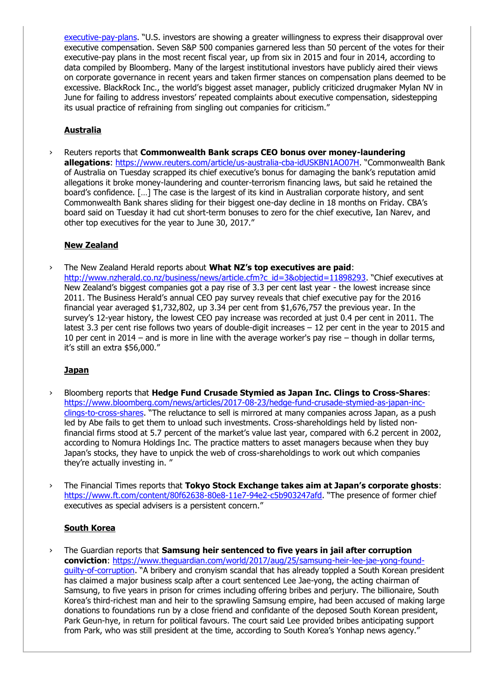[executive-pay-plans](https://www.bloomberg.com/news/articles/2017-08-17/more-investors-are-saying-no-to-exorbitant-executive-pay-plans). "U.S. investors are showing a greater willingness to express their disapproval over executive compensation. Seven S&P 500 companies garnered less than 50 percent of the votes for their executive-pay plans in the most recent fiscal year, up from six in 2015 and four in 2014, according to data compiled by Bloomberg. Many of the largest institutional investors have publicly aired their views on corporate governance in recent years and taken firmer stances on compensation plans deemed to be excessive. BlackRock Inc., the world's biggest asset manager, publicly criticized drugmaker Mylan NV in June for failing to address investors' repeated complaints about executive compensation, sidestepping its usual practice of refraining from singling out companies for criticism."

# **Australia**

› Reuters reports that **Commonwealth Bank scraps CEO bonus over money-laundering allegations**:<https://www.reuters.com/article/us-australia-cba-idUSKBN1AO07H>. "Commonwealth Bank of Australia on Tuesday scrapped its chief executive's bonus for damaging the bank's reputation amid allegations it broke money-laundering and counter-terrorism financing laws, but said he retained the board's confidence. […] The case is the largest of its kind in Australian corporate history, and sent Commonwealth Bank shares sliding for their biggest one-day decline in 18 months on Friday. CBA's board said on Tuesday it had cut short-term bonuses to zero for the chief executive, Ian Narev, and other top executives for the year to June 30, 2017."

# **New Zealand**

› The New Zealand Herald reports about **What NZ's top executives are paid**: [http://www.nzherald.co.nz/business/news/article.cfm?c\\_id=3&objectid=11898293](http://www.nzherald.co.nz/business/news/article.cfm?c_id=3&objectid=11898293). "Chief executives at New Zealand's biggest companies got a pay rise of 3.3 per cent last year - the lowest increase since 2011. The Business Herald's annual CEO pay survey reveals that chief executive pay for the 2016 financial year averaged \$1,732,802, up 3.34 per cent from \$1,676,757 the previous year. In the survey's 12-year history, the lowest CEO pay increase was recorded at just 0.4 per cent in 2011. The latest 3.3 per cent rise follows two years of double-digit increases – 12 per cent in the year to 2015 and 10 per cent in 2014 – and is more in line with the average worker's pay rise – though in dollar terms, it's still an extra \$56,000."

# **Japan**

- › Bloomberg reports that **Hedge Fund Crusade Stymied as Japan Inc. Clings to Cross-Shares**: [https://www.bloomberg.com/news/articles/2017-08-23/hedge-fund-crusade-stymied-as-japan-inc](https://www.bloomberg.com/news/articles/2017-08-23/hedge-fund-crusade-stymied-as-japan-inc-clings-to-cross-shares)[clings-to-cross-shares](https://www.bloomberg.com/news/articles/2017-08-23/hedge-fund-crusade-stymied-as-japan-inc-clings-to-cross-shares). "The reluctance to sell is mirrored at many companies across Japan, as a push led by Abe fails to get them to unload such investments. Cross-shareholdings held by listed nonfinancial firms stood at 5.7 percent of the market's value last year, compared with 6.2 percent in 2002, according to Nomura Holdings Inc. The practice matters to asset managers because when they buy Japan's stocks, they have to unpick the web of cross-shareholdings to work out which companies they're actually investing in. "
- › The Financial Times reports that **Tokyo Stock Exchange takes aim at Japan's corporate ghosts**: <https://www.ft.com/content/80f62638-80e8-11e7-94e2-c5b903247afd>. "The presence of former chief executives as special advisers is a persistent concern."

# **South Korea**

› The Guardian reports that **Samsung heir sentenced to five years in jail after corruption conviction**: [https://www.theguardian.com/world/2017/aug/25/samsung-heir-lee-jae-yong-found](https://www.theguardian.com/world/2017/aug/25/samsung-heir-lee-jae-yong-found-guilty-of-corruption)[guilty-of-corruption](https://www.theguardian.com/world/2017/aug/25/samsung-heir-lee-jae-yong-found-guilty-of-corruption). "A bribery and cronyism scandal that has already toppled a South Korean president has claimed a major business scalp after a court sentenced Lee Jae-yong, the acting chairman of Samsung, to five years in prison for crimes including offering bribes and perjury. The billionaire, South Korea's third-richest man and heir to the sprawling Samsung empire, had been accused of making large donations to foundations run by a close friend and confidante of the deposed South Korean president, Park Geun-hye, in return for political favours. The court said Lee provided bribes anticipating support from Park, who was still president at the time, according to South Korea's Yonhap news agency."